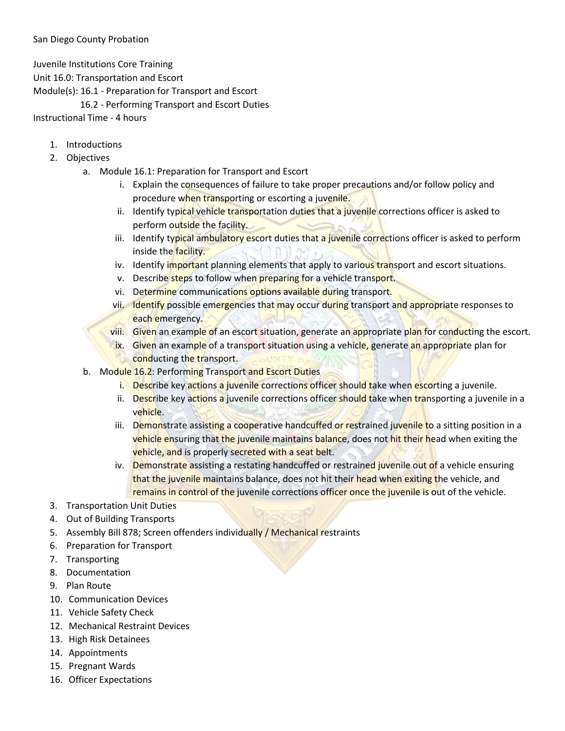Juvenile Institutions Core Training

Unit 16.0: Transportation and Escort

Module(s): 16.1 - Preparation for Transport and Escort

16.2 - Performing Transport and Escort Duties

Instructional Time - 4 hours

- 1. Introductions
- 2. Objectives
	- a. Module 16.1: Preparation for Transport and Escort
		- i. Explain the consequences of failure to take proper precautions and/or follow policy and procedure when transporting or escorting a juvenile.
		- ii. Identify typical vehicle transportation duties that a juvenile corrections officer is asked to perform outside the facility.
		- iii. Identify typical ambulatory escort duties that a juvenile corrections officer is asked to perform inside the facility.
		- iv. Identify important planning elements that apply to various transport and escort situations.
		- v. Describe steps to follow when preparing for a vehicle transport.
		- vi. Determine communications options available during transport.
		- vii. Identify possible emergencies that may occur during transport and appropriate responses to each emergency.
		- viii. Given an example of an escort situation, generate an appropriate plan for conducting the escort.
		- ix. Given an example of a transport situation using a vehicle, generate an appropriate plan for conducting the transport.
	- b. Module 16.2: Performing Transport and Escort Duties
		- i. Describe key actions a juvenile corrections officer should take when escorting a juvenile.
		- ii. Describe key actions a juvenile corrections officer should take when transporting a juvenile in a vehicle.
		- iii. Demonstrate assisting a cooperative handcuffed or restrained juvenile to a sitting position in a vehicle ensuring that the juvenile maintains balance, does not hit their head when exiting the vehicle, and is properly secreted with a seat belt.
		- iv. Demonstrate assisting a restating handcuffed or restrained juvenile out of a vehicle ensuring that the juvenile maintains balance, does not hit their head when exiting the vehicle, and remains in control of the juvenile corrections officer once the juvenile is out of the vehicle.
- 3. Transportation Unit Duties
- 4. Out of Building Transports
- 5. Assembly Bill 878; Screen offenders individually / Mechanical restraints
- 6. Preparation for Transport
- 7. Transporting
- 8. Documentation
- 9. Plan Route
- 10. Communication Devices
- 11. Vehicle Safety Check
- 12. Mechanical Restraint Devices
- 13. High Risk Detainees
- 14. Appointments
- 15. Pregnant Wards
- 16. Officer Expectations